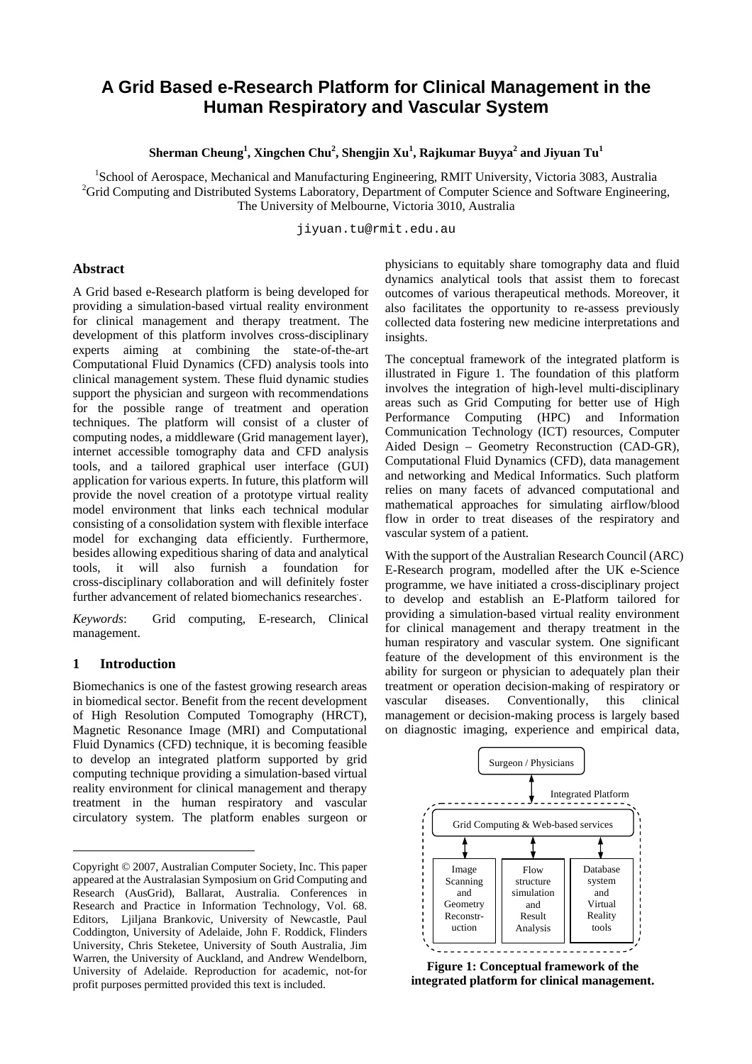# **A Grid Based e-Research Platform for Clinical Management in the Human Respiratory and Vascular System**

**Sherman Cheung<sup>1</sup> , Xingchen Chu<sup>2</sup> , Shengjin Xu<sup>1</sup> , Rajkumar Buyya<sup>2</sup> and Jiyuan Tu<sup>1</sup>**

<sup>1</sup>School of Aerospace, Mechanical and Manufacturing Engineering, RMIT University, Victoria 3083, Australia <sup>2</sup>Crid Computing and Distributed Systems Laboratory, Department of Computer Science and Software Engineering <sup>2</sup>Grid Computing and Distributed Systems Laboratory, Department of Computer Science and Software Engineering, The University of Melbourne, Victoria 3010, Australia

jiyuan.tu@rmit.edu.au

#### **Abstract**

A Grid based e-Research platform is being developed for providing a simulation-based virtual reality environment for clinical management and therapy treatment. The development of this platform involves cross-disciplinary experts aiming at combining the state-of-the-art Computational Fluid Dynamics (CFD) analysis tools into clinical management system. These fluid dynamic studies support the physician and surgeon with recommendations for the possible range of treatment and operation techniques. The platform will consist of a cluster of computing nodes, a middleware (Grid management layer), internet accessible tomography data and CFD analysis tools, and a tailored graphical user interface (GUI) application for various experts. In future, this platform will provide the novel creation of a prototype virtual reality model environment that links each technical modular consisting of a consolidation system with flexible interface model for exchanging data efficiently. Furthermore, besides allowing expeditious sharing of data and analytical tools, it will also furnish a foundation for cross-disciplinary collaboration and will definitely foster further advancement of related biomechanics researches. .

*Keywords*: Grid computing, E-research, Clinical management.

#### **1 Introduction**

l

Biomechanics is one of the fastest growing research areas in biomedical sector. Benefit from the recent development of High Resolution Computed Tomography (HRCT), Magnetic Resonance Image (MRI) and Computational Fluid Dynamics (CFD) technique, it is becoming feasible to develop an integrated platform supported by grid computing technique providing a simulation-based virtual reality environment for clinical management and therapy treatment in the human respiratory and vascular circulatory system. The platform enables surgeon or

physicians to equitably share tomography data and fluid dynamics analytical tools that assist them to forecast outcomes of various therapeutical methods. Moreover, it also facilitates the opportunity to re-assess previously collected data fostering new medicine interpretations and insights.

The conceptual framework of the integrated platform is illustrated in Figure 1. The foundation of this platform involves the integration of high-level multi-disciplinary areas such as Grid Computing for better use of High Performance Computing (HPC) and Information Communication Technology (ICT) resources, Computer Aided Design – Geometry Reconstruction (CAD-GR), Computational Fluid Dynamics (CFD), data management and networking and Medical Informatics. Such platform relies on many facets of advanced computational and mathematical approaches for simulating airflow/blood flow in order to treat diseases of the respiratory and vascular system of a patient.

With the support of the Australian Research Council (ARC) E-Research program, modelled after the UK e-Science programme, we have initiated a cross-disciplinary project to develop and establish an E-Platform tailored for providing a simulation-based virtual reality environment for clinical management and therapy treatment in the human respiratory and vascular system. One significant feature of the development of this environment is the ability for surgeon or physician to adequately plan their treatment or operation decision-making of respiratory or vascular diseases. Conventionally, this clinical management or decision-making process is largely based on diagnostic imaging, experience and empirical data,



**Figure 1: Conceptual framework of the integrated platform for clinical management.**

Copyright © 2007, Australian Computer Society, Inc. This paper appeared at the Australasian Symposium on Grid Computing and Research (AusGrid), Ballarat, Australia. Conferences in Research and Practice in Information Technology, Vol. 68. Editors, Ljiljana Brankovic, University of Newcastle, Paul Coddington, University of Adelaide, John F. Roddick, Flinders University, Chris Steketee, University of South Australia, Jim Warren, the University of Auckland, and Andrew Wendelborn, University of Adelaide. Reproduction for academic, not-for profit purposes permitted provided this text is included.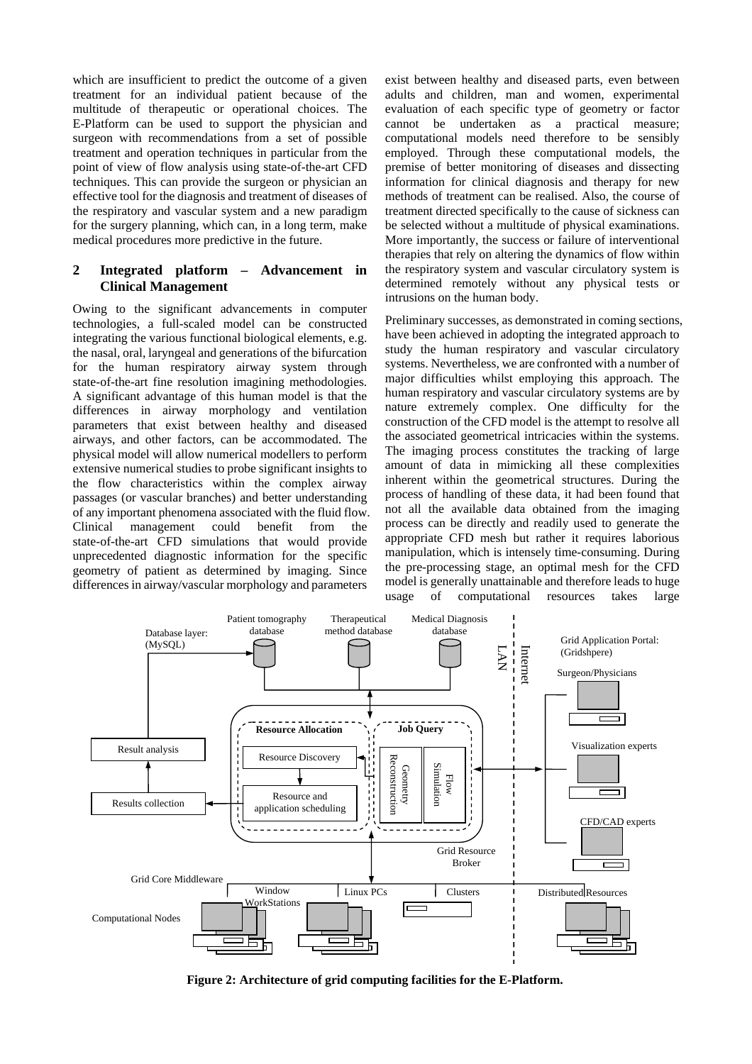which are insufficient to predict the outcome of a given treatment for an individual patient because of the multitude of therapeutic or operational choices. The E-Platform can be used to support the physician and surgeon with recommendations from a set of possible treatment and operation techniques in particular from the point of view of flow analysis using state-of-the-art CFD techniques. This can provide the surgeon or physician an effective tool for the diagnosis and treatment of diseases of the respiratory and vascular system and a new paradigm for the surgery planning, which can, in a long term, make medical procedures more predictive in the future.

# **2 Integrated platform – Advancement in Clinical Management**

Owing to the significant advancements in computer technologies, a full-scaled model can be constructed integrating the various functional biological elements, e.g. the nasal, oral, laryngeal and generations of the bifurcation for the human respiratory airway system through state-of-the-art fine resolution imagining methodologies. A significant advantage of this human model is that the differences in airway morphology and ventilation parameters that exist between healthy and diseased airways, and other factors, can be accommodated. The physical model will allow numerical modellers to perform extensive numerical studies to probe significant insights to the flow characteristics within the complex airway passages (or vascular branches) and better understanding of any important phenomena associated with the fluid flow. Clinical management could benefit from the state-of-the-art CFD simulations that would provide unprecedented diagnostic information for the specific geometry of patient as determined by imaging. Since differences in airway/vascular morphology and parameters

exist between healthy and diseased parts, even between adults and children, man and women, experimental evaluation of each specific type of geometry or factor cannot be undertaken as a practical measure; computational models need therefore to be sensibly employed. Through these computational models, the premise of better monitoring of diseases and dissecting information for clinical diagnosis and therapy for new methods of treatment can be realised. Also, the course of treatment directed specifically to the cause of sickness can be selected without a multitude of physical examinations. More importantly, the success or failure of interventional therapies that rely on altering the dynamics of flow within the respiratory system and vascular circulatory system is determined remotely without any physical tests or intrusions on the human body.

Preliminary successes, as demonstrated in coming sections, have been achieved in adopting the integrated approach to study the human respiratory and vascular circulatory systems. Nevertheless, we are confronted with a number of major difficulties whilst employing this approach. The human respiratory and vascular circulatory systems are by nature extremely complex. One difficulty for the construction of the CFD model is the attempt to resolve all the associated geometrical intricacies within the systems. The imaging process constitutes the tracking of large amount of data in mimicking all these complexities inherent within the geometrical structures. During the process of handling of these data, it had been found that not all the available data obtained from the imaging process can be directly and readily used to generate the appropriate CFD mesh but rather it requires laborious manipulation, which is intensely time-consuming. During the pre-processing stage, an optimal mesh for the CFD model is generally unattainable and therefore leads to huge usage of computational resources takes large



**Figure 2: Architecture of grid computing facilities for the E-Platform.**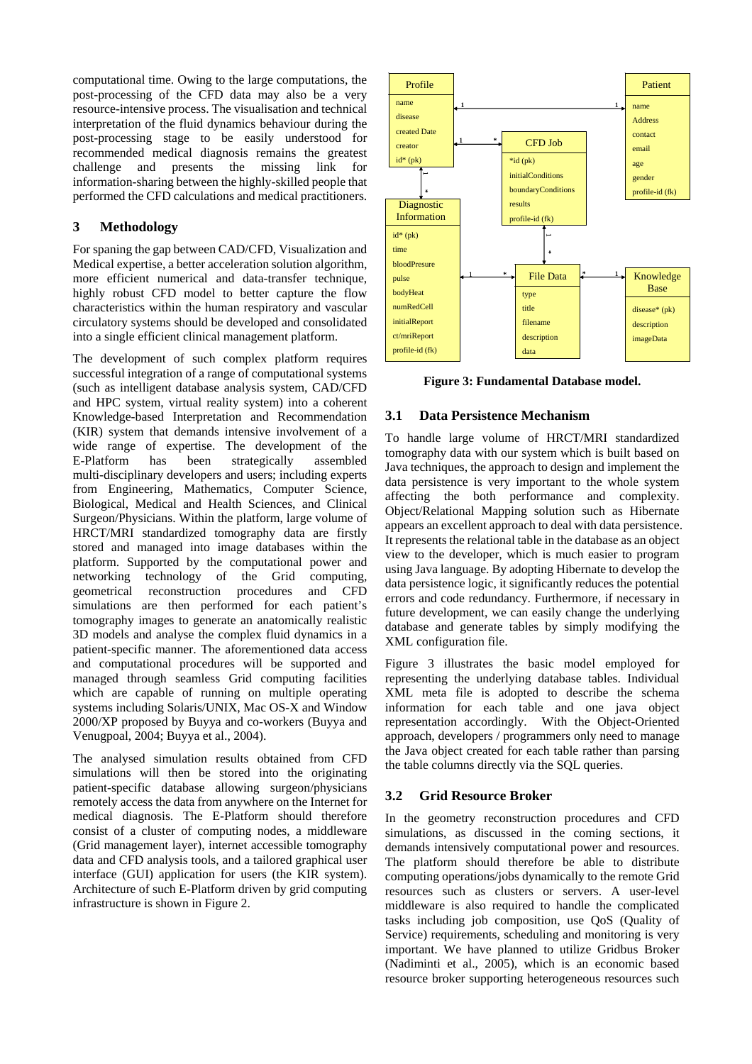computational time. Owing to the large computations, the post-processing of the CFD data may also be a very resource-intensive process. The visualisation and technical interpretation of the fluid dynamics behaviour during the post-processing stage to be easily understood for recommended medical diagnosis remains the greatest challenge and presents the missing link for information-sharing between the highly-skilled people that performed the CFD calculations and medical practitioners.

# **3 Methodology**

For spaning the gap between CAD/CFD, Visualization and Medical expertise, a better acceleration solution algorithm, more efficient numerical and data-transfer technique, highly robust CFD model to better capture the flow characteristics within the human respiratory and vascular circulatory systems should be developed and consolidated into a single efficient clinical management platform.

The development of such complex platform requires successful integration of a range of computational systems (such as intelligent database analysis system, CAD/CFD and HPC system, virtual reality system) into a coherent Knowledge-based Interpretation and Recommendation (KIR) system that demands intensive involvement of a wide range of expertise. The development of the E-Platform has been strategically assembled multi-disciplinary developers and users; including experts from Engineering, Mathematics, Computer Science, Biological, Medical and Health Sciences, and Clinical Surgeon/Physicians. Within the platform, large volume of HRCT/MRI standardized tomography data are firstly stored and managed into image databases within the platform. Supported by the computational power and networking technology of the Grid computing, geometrical reconstruction procedures and CFD simulations are then performed for each patient's tomography images to generate an anatomically realistic 3D models and analyse the complex fluid dynamics in a patient-specific manner. The aforementioned data access and computational procedures will be supported and managed through seamless Grid computing facilities which are capable of running on multiple operating systems including Solaris/UNIX, Mac OS-X and Window 2000/XP proposed by Buyya and co-workers (Buyya and Venugpoal, 2004; Buyya et al., 2004).

The analysed simulation results obtained from CFD simulations will then be stored into the originating patient-specific database allowing surgeon/physicians remotely access the data from anywhere on the Internet for medical diagnosis. The E-Platform should therefore consist of a cluster of computing nodes, a middleware (Grid management layer), internet accessible tomography data and CFD analysis tools, and a tailored graphical user interface (GUI) application for users (the KIR system). Architecture of such E-Platform driven by grid computing infrastructure is shown in Figure 2.



**Figure 3: Fundamental Database model.** 

## **3.1 Data Persistence Mechanism**

To handle large volume of HRCT/MRI standardized tomography data with our system which is built based on Java techniques, the approach to design and implement the data persistence is very important to the whole system affecting the both performance and complexity. Object/Relational Mapping solution such as Hibernate appears an excellent approach to deal with data persistence. It represents the relational table in the database as an object view to the developer, which is much easier to program using Java language. By adopting Hibernate to develop the data persistence logic, it significantly reduces the potential errors and code redundancy. Furthermore, if necessary in future development, we can easily change the underlying database and generate tables by simply modifying the XML configuration file.

Figure 3 illustrates the basic model employed for representing the underlying database tables. Individual XML meta file is adopted to describe the schema information for each table and one java object representation accordingly. With the Object-Oriented approach, developers / programmers only need to manage the Java object created for each table rather than parsing the table columns directly via the SQL queries.

## **3.2 Grid Resource Broker**

In the geometry reconstruction procedures and CFD simulations, as discussed in the coming sections, it demands intensively computational power and resources. The platform should therefore be able to distribute computing operations/jobs dynamically to the remote Grid resources such as clusters or servers. A user-level middleware is also required to handle the complicated tasks including job composition, use QoS (Quality of Service) requirements, scheduling and monitoring is very important. We have planned to utilize Gridbus Broker (Nadiminti et al., 2005), which is an economic based resource broker supporting heterogeneous resources such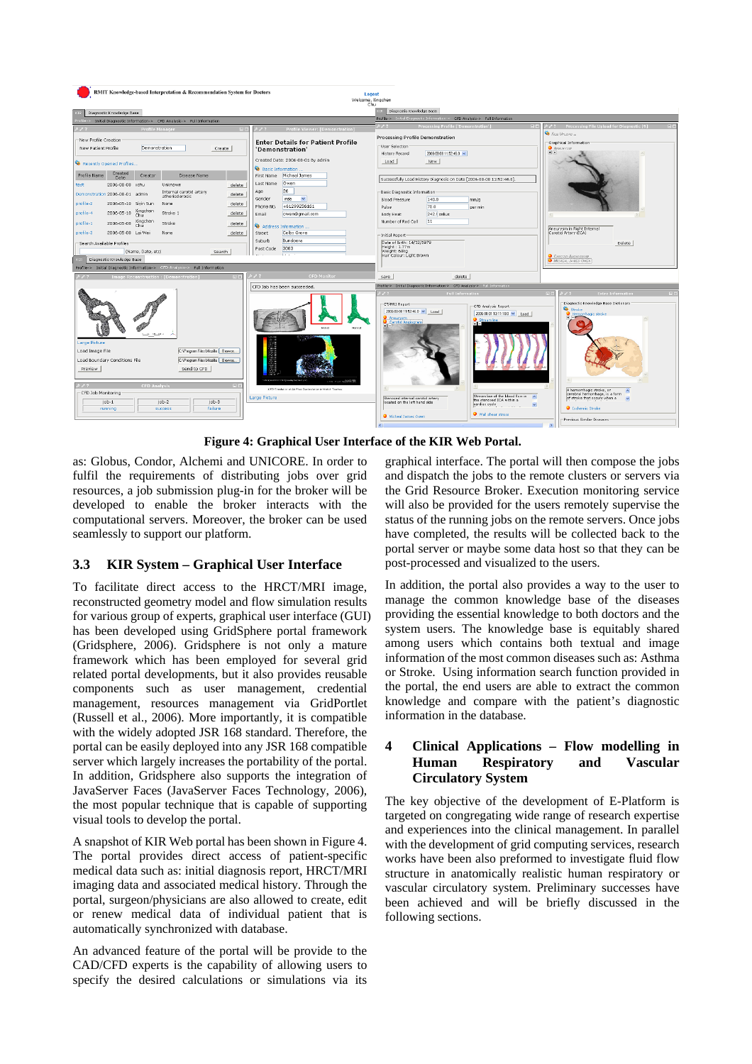| RMIT Knowledge-based Interpretation & Recommendation System for Doctors<br>Logout<br>Welcome, Xinachen<br>Chu                                                                                                                                                                                                                                                                                                                                                                                                                                                                                                                                                                                                                                                                                                                                                                                                                                                                               |                                                                                                                                                                                                                                                                                                                                                                                                                                                                                                                                                                                                                                                                                                                                                          |
|---------------------------------------------------------------------------------------------------------------------------------------------------------------------------------------------------------------------------------------------------------------------------------------------------------------------------------------------------------------------------------------------------------------------------------------------------------------------------------------------------------------------------------------------------------------------------------------------------------------------------------------------------------------------------------------------------------------------------------------------------------------------------------------------------------------------------------------------------------------------------------------------------------------------------------------------------------------------------------------------|----------------------------------------------------------------------------------------------------------------------------------------------------------------------------------------------------------------------------------------------------------------------------------------------------------------------------------------------------------------------------------------------------------------------------------------------------------------------------------------------------------------------------------------------------------------------------------------------------------------------------------------------------------------------------------------------------------------------------------------------------------|
| Diagnostic Knowledge Base                                                                                                                                                                                                                                                                                                                                                                                                                                                                                                                                                                                                                                                                                                                                                                                                                                                                                                                                                                   | Diagnostic Knowledge Base                                                                                                                                                                                                                                                                                                                                                                                                                                                                                                                                                                                                                                                                                                                                |
| Initial Diagnostic Information-> CFD Analysis-> Full Information                                                                                                                                                                                                                                                                                                                                                                                                                                                                                                                                                                                                                                                                                                                                                                                                                                                                                                                            | Profile-> Initial Diagnostic Information-> CFD Analysis-> Full Information                                                                                                                                                                                                                                                                                                                                                                                                                                                                                                                                                                                                                                                                               |
| <b>Profile Viewer: [Demonstration</b>                                                                                                                                                                                                                                                                                                                                                                                                                                                                                                                                                                                                                                                                                                                                                                                                                                                                                                                                                       | Processing File Upload for Diagnostic [9<br><b>Processing Profile ['Demonstrat</b>                                                                                                                                                                                                                                                                                                                                                                                                                                                                                                                                                                                                                                                                       |
| New Profile Creation<br><b>Enter Details for Patient Profile</b><br>Demonstration<br>New Patient Profile<br>Create<br>'Demonstration'                                                                                                                                                                                                                                                                                                                                                                                                                                                                                                                                                                                                                                                                                                                                                                                                                                                       | <b>B</b> FRE UPLOAD -<br>Processing Profile Demonstration<br>Graphical Information<br>-User Selection<br><b>O</b> ANEURYSM<br>$\bullet$ $\Box$<br>History Record<br>2006-08-08 11:52:46.0 $\vee$                                                                                                                                                                                                                                                                                                                                                                                                                                                                                                                                                         |
| Created Date: 2006-08-01 By admin<br>Recently Opened Profiles<br>Basic Information<br>Created<br>Profile Name<br>Creator<br>Disease Name<br>First Name Micheal James<br><b>Date</b><br>Owen<br>Last Name<br>2006-08-08 xchu<br>Unknown<br>test<br>delete<br>26<br>Age<br>Internal carotid artery<br>Demonstration 2006-08-01 admin<br>delete<br>atherisderosis<br>Gender<br>male<br>$\checkmark$<br>profile-2<br>2006-05-10 Sivin Sun<br>delete<br>None<br>+61299256161<br>Phone No.<br>2006-05-10 Xingchen<br>profile-4<br>Stroke 1<br>delete<br>owen@gmail.com<br>Email<br>2006-05-08 Xingchen<br>profile-1<br>Stroke<br>delete<br>Address Information<br>profile-3<br>2006-05-08 Lai Wei<br>None<br>delete<br>Colby Grove<br>Street<br>Bundoora<br>Suburb<br>- Search Available Profiles<br>3083<br>Post Code<br>(Name, Date, etc)<br>Search<br><b><i><u>Material</u></i></b><br>Diagnostic Knowledge Base<br>Profile-> Initial Diagnostic Information-> CFD Analysis-> Full Information | New<br>Load<br>Successfully Load History Diagnosis on Date [2006-08-08 11:52:46.0].<br>-Basic Diagnostic Information<br>140.0<br><b>Blood Pressure</b><br>mm/a<br>72.0<br>Pulse<br>per min<br>242.0 celius<br>Body Heat<br>11<br>Number of Red Cell<br>Aneurysm in Right Internal<br>Carotid Artery (ICA)<br>Initial Report<br>Date of Birth: 14/12/1979<br>Delete<br>Height: 1.77m<br>Weight: 68kg<br>Hair Colour: Light Brown<br>CAROTIC ANSIOSRAM<br>MCHEAL JAMES OWEN                                                                                                                                                                                                                                                                                |
| <b>CFD Monitor</b><br><b>Image Reconstruction: [Demonstration</b><br>$=$ $\mathbb{R}$                                                                                                                                                                                                                                                                                                                                                                                                                                                                                                                                                                                                                                                                                                                                                                                                                                                                                                       | save<br>delete                                                                                                                                                                                                                                                                                                                                                                                                                                                                                                                                                                                                                                                                                                                                           |
| CFD Job has been succeeded.<br>Norway to<br><b>SELLING</b><br>Large Picture<br>C:\Program Files\Mozilla Browse<br>Load Image File<br>C:\Program Files\Mobilia Browse<br>Load Boundary Conditions File<br>Preview<br>Send to CFD<br>ALL LOW<br><b>CFD Analysis</b><br>CFD Emobilie of Air Flow Disclosiation in Mobil Teacher<br>CFD Job Monitoring<br>Large Picture<br>$i$ ob-1<br>iob-2<br>iob-3<br>failure<br>running<br>success.                                                                                                                                                                                                                                                                                                                                                                                                                                                                                                                                                         | Profile-> Initial Diagnostic Information-> CFD Analysis-> Full Information<br>Diagnostic Knowledge Base Dictionary<br>CT/MRI Report<br>CFD Analysis Report<br><b>We</b> Stroke<br>2006-08-08 11:52:46.0 V Load<br>2006-08-01 13:11:18.0 V Load<br>Hemorrhagic stroke<br>Aneurysm.<br>Streamline<br>Carotid Angiogram<br>$+1-$<br>$+1 - 1$<br>A hemorrhagic stroke, or<br>$\hat{\phantom{a}}$<br>cerebral hemorrhage, is a form<br>Streamline of the blood flow in A<br>of stroke that occurs when a<br>Stenosed internal carotid artery<br>$\ddot{ }$<br>the stenosed ICA within a<br>located on the left hand side<br>cardiac cycle<br>$\checkmark$<br><b>O</b> Ischemic Stroke<br>Wall shear stress<br>Micheal James Owen<br>Previous Similar Diseases |

**Figure 4: Graphical User Interface of the KIR Web Portal.** 

as: Globus, Condor, Alchemi and UNICORE. In order to fulfil the requirements of distributing jobs over grid resources, a job submission plug-in for the broker will be developed to enable the broker interacts with the computational servers. Moreover, the broker can be used seamlessly to support our platform.

# **3.3 KIR System – Graphical User Interface**

To facilitate direct access to the HRCT/MRI image, reconstructed geometry model and flow simulation results for various group of experts, graphical user interface (GUI) has been developed using GridSphere portal framework (Gridsphere, 2006). Gridsphere is not only a mature framework which has been employed for several grid related portal developments, but it also provides reusable components such as user management, credential management, resources management via GridPortlet (Russell et al., 2006). More importantly, it is compatible with the widely adopted JSR 168 standard. Therefore, the portal can be easily deployed into any JSR 168 compatible server which largely increases the portability of the portal. In addition, Gridsphere also supports the integration of JavaServer Faces (JavaServer Faces Technology, 2006), the most popular technique that is capable of supporting visual tools to develop the portal.

A snapshot of KIR Web portal has been shown in Figure 4. The portal provides direct access of patient-specific medical data such as: initial diagnosis report, HRCT/MRI imaging data and associated medical history. Through the portal, surgeon/physicians are also allowed to create, edit or renew medical data of individual patient that is automatically synchronized with database.

An advanced feature of the portal will be provide to the CAD/CFD experts is the capability of allowing users to specify the desired calculations or simulations via its

graphical interface. The portal will then compose the jobs and dispatch the jobs to the remote clusters or servers via the Grid Resource Broker. Execution monitoring service will also be provided for the users remotely supervise the status of the running jobs on the remote servers. Once jobs have completed, the results will be collected back to the portal server or maybe some data host so that they can be post-processed and visualized to the users.

In addition, the portal also provides a way to the user to manage the common knowledge base of the diseases providing the essential knowledge to both doctors and the system users. The knowledge base is equitably shared among users which contains both textual and image information of the most common diseases such as: Asthma or Stroke. Using information search function provided in the portal, the end users are able to extract the common knowledge and compare with the patient's diagnostic information in the database.

# **4 Clinical Applications – Flow modelling in Human Respiratory and Vascular Circulatory System**

The key objective of the development of E-Platform is targeted on congregating wide range of research expertise and experiences into the clinical management. In parallel with the development of grid computing services, research works have been also preformed to investigate fluid flow structure in anatomically realistic human respiratory or vascular circulatory system. Preliminary successes have been achieved and will be briefly discussed in the following sections.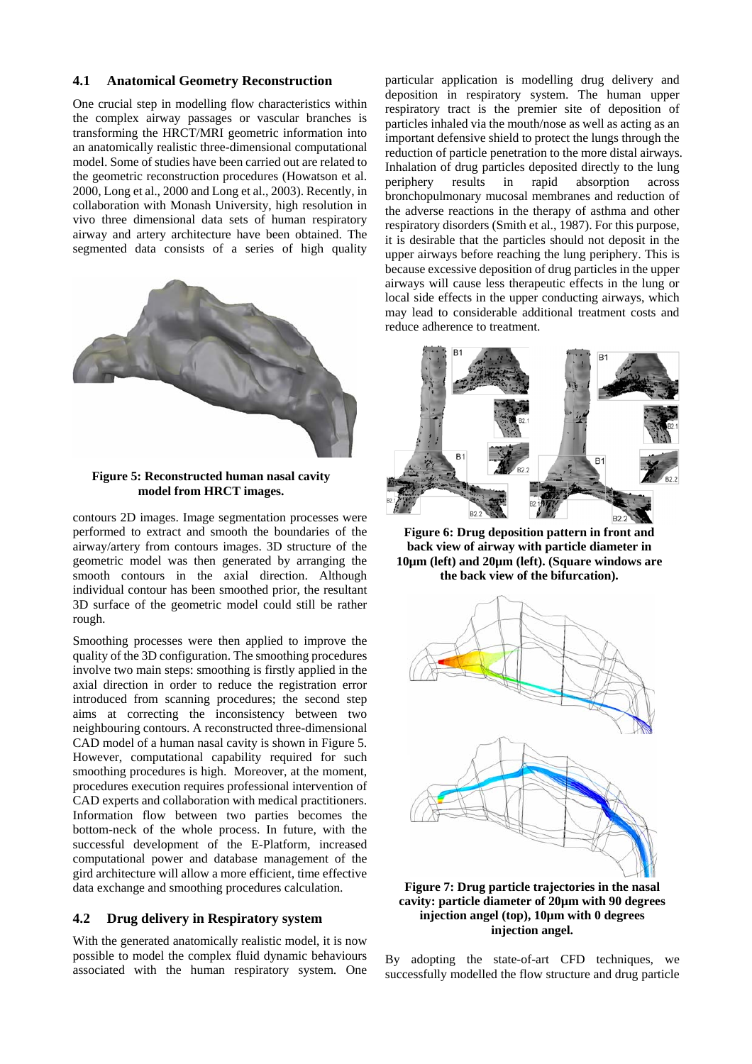#### **4.1 Anatomical Geometry Reconstruction**

One crucial step in modelling flow characteristics within the complex airway passages or vascular branches is transforming the HRCT/MRI geometric information into an anatomically realistic three-dimensional computational model. Some of studies have been carried out are related to the geometric reconstruction procedures (Howatson et al. 2000, Long et al., 2000 and Long et al., 2003). Recently, in collaboration with Monash University, high resolution in vivo three dimensional data sets of human respiratory airway and artery architecture have been obtained. The segmented data consists of a series of high quality



**Figure 5: Reconstructed human nasal cavity model from HRCT images.** 

contours 2D images. Image segmentation processes were performed to extract and smooth the boundaries of the airway/artery from contours images. 3D structure of the geometric model was then generated by arranging the smooth contours in the axial direction. Although individual contour has been smoothed prior, the resultant 3D surface of the geometric model could still be rather rough.

Smoothing processes were then applied to improve the quality of the 3D configuration. The smoothing procedures involve two main steps: smoothing is firstly applied in the axial direction in order to reduce the registration error introduced from scanning procedures; the second step aims at correcting the inconsistency between two neighbouring contours. A reconstructed three-dimensional CAD model of a human nasal cavity is shown in Figure 5. However, computational capability required for such smoothing procedures is high. Moreover, at the moment, procedures execution requires professional intervention of CAD experts and collaboration with medical practitioners. Information flow between two parties becomes the bottom-neck of the whole process. In future, with the successful development of the E-Platform, increased computational power and database management of the gird architecture will allow a more efficient, time effective data exchange and smoothing procedures calculation.

## **4.2 Drug delivery in Respiratory system**

With the generated anatomically realistic model, it is now possible to model the complex fluid dynamic behaviours associated with the human respiratory system. One

particular application is modelling drug delivery and deposition in respiratory system. The human upper respiratory tract is the premier site of deposition of particles inhaled via the mouth/nose as well as acting as an important defensive shield to protect the lungs through the reduction of particle penetration to the more distal airways. Inhalation of drug particles deposited directly to the lung periphery results in rapid absorption across bronchopulmonary mucosal membranes and reduction of the adverse reactions in the therapy of asthma and other respiratory disorders (Smith et al., 1987). For this purpose, it is desirable that the particles should not deposit in the upper airways before reaching the lung periphery. This is because excessive deposition of drug particles in the upper airways will cause less therapeutic effects in the lung or local side effects in the upper conducting airways, which may lead to considerable additional treatment costs and reduce adherence to treatment.



**Figure 6: Drug deposition pattern in front and back view of airway with particle diameter in 10µm (left) and 20µm (left). (Square windows are the back view of the bifurcation).** 



**Figure 7: Drug particle trajectories in the nasal cavity: particle diameter of 20µm with 90 degrees injection angel (top), 10µm with 0 degrees injection angel.** 

By adopting the state-of-art CFD techniques, we successfully modelled the flow structure and drug particle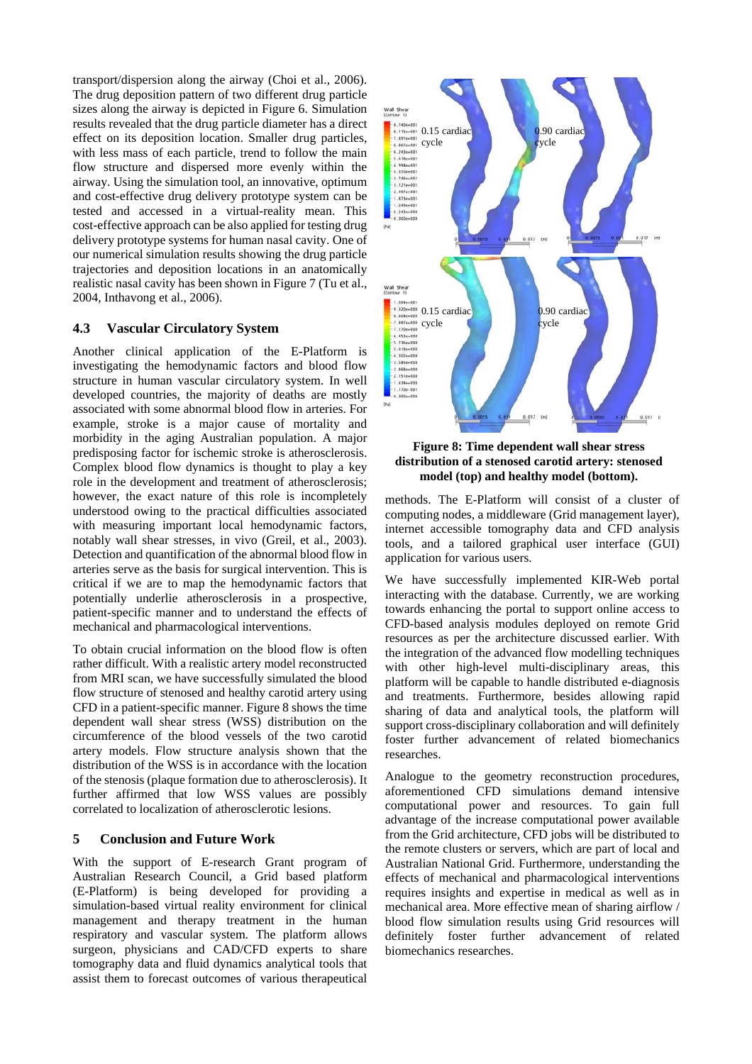transport/dispersion along the airway (Choi et al., 2006). The drug deposition pattern of two different drug particle sizes along the airway is depicted in Figure 6. Simulation results revealed that the drug particle diameter has a direct effect on its deposition location. Smaller drug particles, with less mass of each particle, trend to follow the main flow structure and dispersed more evenly within the airway. Using the simulation tool, an innovative, optimum and cost-effective drug delivery prototype system can be tested and accessed in a virtual-reality mean. This cost-effective approach can be also applied for testing drug delivery prototype systems for human nasal cavity. One of our numerical simulation results showing the drug particle trajectories and deposition locations in an anatomically realistic nasal cavity has been shown in Figure 7 (Tu et al., 2004, Inthavong et al., 2006).

## **4.3 Vascular Circulatory System**

Another clinical application of the E-Platform is investigating the hemodynamic factors and blood flow structure in human vascular circulatory system. In well developed countries, the majority of deaths are mostly associated with some abnormal blood flow in arteries. For example, stroke is a major cause of mortality and morbidity in the aging Australian population. A major predisposing factor for ischemic stroke is atherosclerosis. Complex blood flow dynamics is thought to play a key role in the development and treatment of atherosclerosis; however, the exact nature of this role is incompletely understood owing to the practical difficulties associated with measuring important local hemodynamic factors, notably wall shear stresses, in vivo (Greil, et al., 2003). Detection and quantification of the abnormal blood flow in arteries serve as the basis for surgical intervention. This is critical if we are to map the hemodynamic factors that potentially underlie atherosclerosis in a prospective, patient-specific manner and to understand the effects of mechanical and pharmacological interventions.

To obtain crucial information on the blood flow is often rather difficult. With a realistic artery model reconstructed from MRI scan, we have successfully simulated the blood flow structure of stenosed and healthy carotid artery using CFD in a patient-specific manner. Figure 8 shows the time dependent wall shear stress (WSS) distribution on the circumference of the blood vessels of the two carotid artery models. Flow structure analysis shown that the distribution of the WSS is in accordance with the location of the stenosis (plaque formation due to atherosclerosis). It further affirmed that low WSS values are possibly correlated to localization of atherosclerotic lesions.

## **5 Conclusion and Future Work**

With the support of E-research Grant program of Australian Research Council, a Grid based platform (E-Platform) is being developed for providing a simulation-based virtual reality environment for clinical management and therapy treatment in the human respiratory and vascular system. The platform allows surgeon, physicians and CAD/CFD experts to share tomography data and fluid dynamics analytical tools that assist them to forecast outcomes of various therapeutical



**Figure 8: Time dependent wall shear stress distribution of a stenosed carotid artery: stenosed model (top) and healthy model (bottom).** 

methods. The E-Platform will consist of a cluster of computing nodes, a middleware (Grid management layer), internet accessible tomography data and CFD analysis tools, and a tailored graphical user interface (GUI) application for various users.

We have successfully implemented KIR-Web portal interacting with the database. Currently, we are working towards enhancing the portal to support online access to CFD-based analysis modules deployed on remote Grid resources as per the architecture discussed earlier. With the integration of the advanced flow modelling techniques with other high-level multi-disciplinary areas, this platform will be capable to handle distributed e-diagnosis and treatments. Furthermore, besides allowing rapid sharing of data and analytical tools, the platform will support cross-disciplinary collaboration and will definitely foster further advancement of related biomechanics researches.

Analogue to the geometry reconstruction procedures, aforementioned CFD simulations demand intensive computational power and resources. To gain full advantage of the increase computational power available from the Grid architecture, CFD jobs will be distributed to the remote clusters or servers, which are part of local and Australian National Grid. Furthermore, understanding the effects of mechanical and pharmacological interventions requires insights and expertise in medical as well as in mechanical area. More effective mean of sharing airflow / blood flow simulation results using Grid resources will definitely foster further advancement of related biomechanics researches.